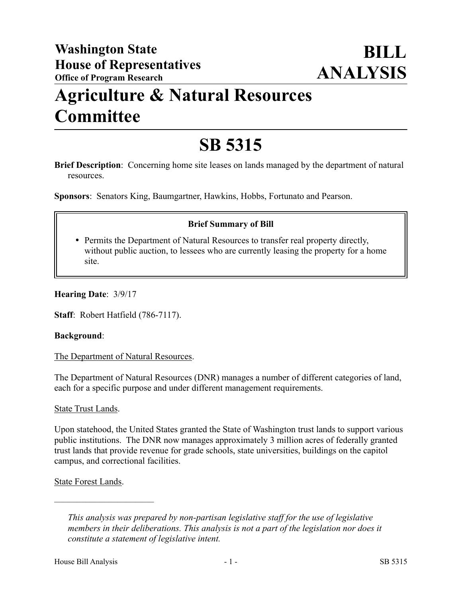## **Agriculture & Natural Resources Committee**

# **SB 5315**

**Brief Description**: Concerning home site leases on lands managed by the department of natural resources.

**Sponsors**: Senators King, Baumgartner, Hawkins, Hobbs, Fortunato and Pearson.

## **Brief Summary of Bill**

 Permits the Department of Natural Resources to transfer real property directly, without public auction, to lessees who are currently leasing the property for a home site.

**Hearing Date**: 3/9/17

**Staff**: Robert Hatfield (786-7117).

#### **Background**:

The Department of Natural Resources.

The Department of Natural Resources (DNR) manages a number of different categories of land, each for a specific purpose and under different management requirements.

#### State Trust Lands.

Upon statehood, the United States granted the State of Washington trust lands to support various public institutions. The DNR now manages approximately 3 million acres of federally granted trust lands that provide revenue for grade schools, state universities, buildings on the capitol campus, and correctional facilities.

State Forest Lands.

––––––––––––––––––––––

*This analysis was prepared by non-partisan legislative staff for the use of legislative members in their deliberations. This analysis is not a part of the legislation nor does it constitute a statement of legislative intent.*